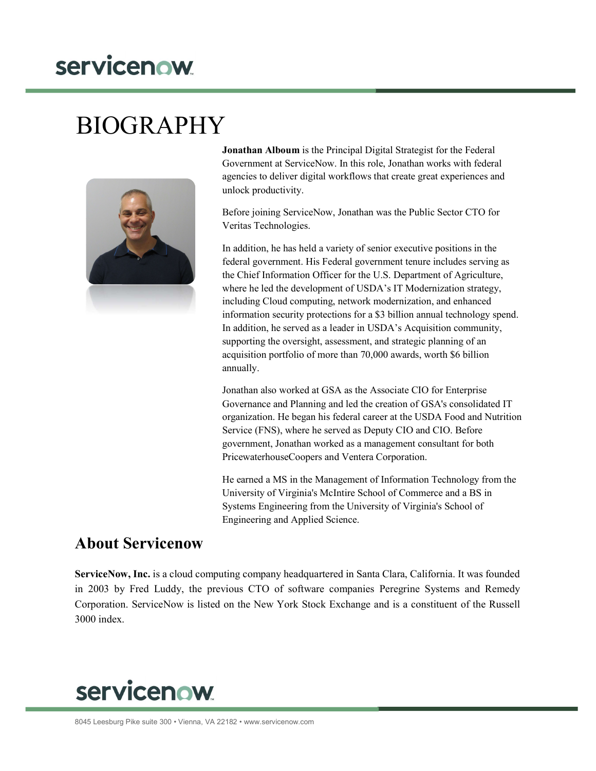## servicenow

## BIOGRAPHY



Jonathan Alboum is the Principal Digital Strategist for the Federal Government at ServiceNow. In this role, Jonathan works with federal agencies to deliver digital workflows that create great experiences and unlock productivity.

Before joining ServiceNow, Jonathan was the Public Sector CTO for Veritas Technologies.

In addition, he has held a variety of senior executive positions in the federal government. His Federal government tenure includes serving as the Chief Information Officer for the U.S. Department of Agriculture, where he led the development of USDA's IT Modernization strategy, including Cloud computing, network modernization, and enhanced information security protections for a \$3 billion annual technology spend. In addition, he served as a leader in USDA's Acquisition community, supporting the oversight, assessment, and strategic planning of an acquisition portfolio of more than 70,000 awards, worth \$6 billion annually.

Jonathan also worked at GSA as the Associate CIO for Enterprise Governance and Planning and led the creation of GSA's consolidated IT organization. He began his federal career at the USDA Food and Nutrition Service (FNS), where he served as Deputy CIO and CIO. Before government, Jonathan worked as a management consultant for both PricewaterhouseCoopers and Ventera Corporation.

He earned a MS in the Management of Information Technology from the University of Virginia's McIntire School of Commerce and a BS in Systems Engineering from the University of Virginia's School of Engineering and Applied Science.

## About Servicenow

ServiceNow, Inc. is a cloud computing company headquartered in Santa Clara, California. It was founded in 2003 by Fred Luddy, the previous CTO of software companies Peregrine Systems and Remedy Corporation. ServiceNow is listed on the New York Stock Exchange and is a constituent of the Russell 3000 index.

## **servicenow**